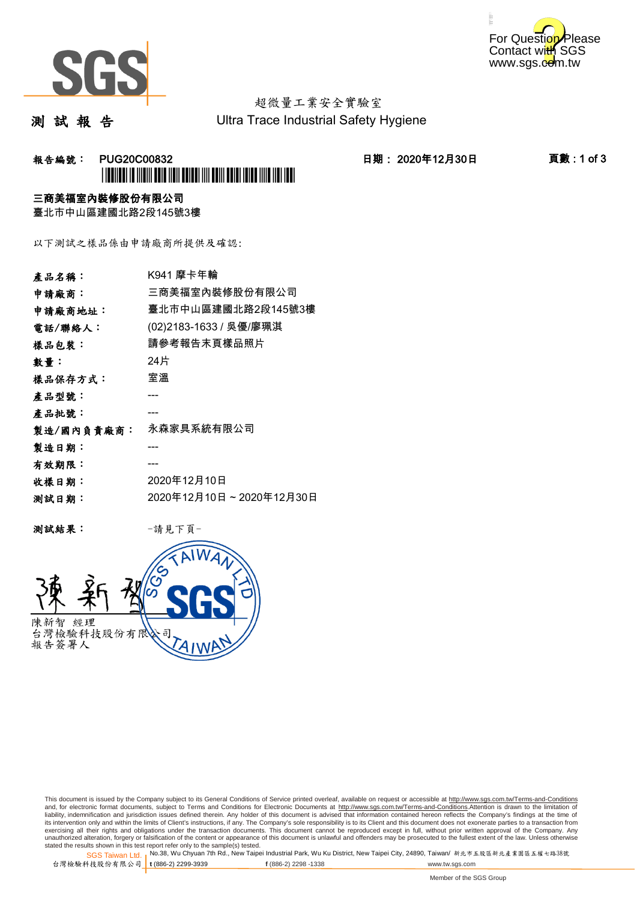



# 超微量工業安全實驗室

測 試 報 告

Ultra Trace Industrial Safety Hygiene

### 報告編號: PUG20C00832 日期: 2020年12月30日 頁數 : 1 of 3 \*PUG20C00832\*

#### 三商美福室內裝修股份有限公司

臺北市中山區建國北路2段145號3樓

以下測試之樣品係由申請廠商所提供及確認:

| 產品名稱:      |                         |
|------------|-------------------------|
| 申請廠商:      | 三商美福室內裝修股份有限公司          |
| 申請廠商地址:    | 臺北市中山區建國北路2段145號3樓      |
| 電話/聯絡人:    | (02)2183-1633 / 吳優/廖珮淇  |
| 樣品包裝:      | 請參考報告末頁樣品照片             |
| 數量:        | 24片                     |
| 樣品保存方式:    | 室溫                      |
| 產品型號:      |                         |
| 產品批號:      |                         |
| 製造/國內負責廠商: | 永森家具系統有限公司              |
| 製造日期:      |                         |
| 有效期限:      |                         |
| 收樣日期:      | 2020年12月10日             |
| 测試日期:      | 2020年12月10日~2020年12月30日 |
|            |                         |

测試結果: 一請見下頁



This document is issued by the Company subject to its General Conditions of Service printed overleaf, available on request or accessible at http://www.sgs.com.tw/Terms-and-Conditions and, for electronic format documents, subject to Terms and Conditions for Electronic Documents at <u>http://www.sgs.com.tw/Terms-and-Conditions</u>.Attention is drawn to the limitation of<br>liability, indemnification and jurisdic exercising all their rights and obligations under the transaction documents. This document cannot be reproduced except in full, without prior written approval of the Company. Any<br>unauthorized alteration, forgery or falsifi

SGS Taiwan Ltd. 1 stated the results shown in this test report refer only to the sample(s) tested.<br>Stated the results shown in this test report refer only to the sample(s) tested.

台灣檢驗科技股份有限公司

**t** (886-2) 2299-3939 **f** (886-2) 2298 -1338 www.tw.sgs.com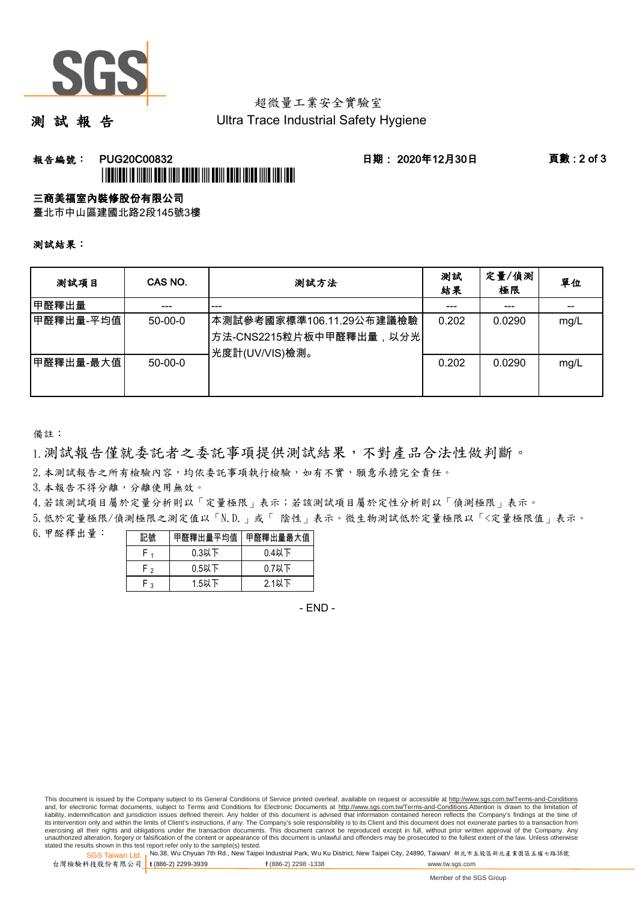

# 超微量工業安全實驗室

測 試 報 告

Ultra Trace Industrial Safety Hygiene

### 報告編號: PUG20C00832 日期: 2020年12月30日 頁數 : 2 of 3 \*PUG20C00832\*

#### 三商美福室內裝修股份有限公司

臺北市中山區建國北路2段145號3樓

測試結果:

| 测試項目      | CAS NO.   | 測試方法                                                                  | 測試<br>結果 | 定量/偵測<br>極限 | 單位   |
|-----------|-----------|-----------------------------------------------------------------------|----------|-------------|------|
| 甲醛釋出量     |           | ---                                                                   |          |             |      |
| 甲醛釋出量-平均值 | $50-00-0$ | 本測試參考國家標準106.11.29公布建議檢驗<br>方法-CNS2215粒片板中甲醛釋出量,以分光<br>光度計(UV/VIS)檢測。 | 0.202    | 0.0290      | mg/L |
| 甲醛釋出量-最大值 | $50-00-0$ |                                                                       | 0.202    | 0.0290      | mg/L |

備註:

1.測試報告僅就委託者之委託事項提供測試結果,不對產品合法性做判斷。

2.本測試報告之所有檢驗內容,均依委託事項執行檢驗,如有不實,願意承擔完全責任。

3. 本報告不得分離,分離使用無效。

4.若該測試項目屬於定量分析則以「定量極限」表示;若該測試項目屬於定性分析則以「偵測極限」表示。

5.低於定量極限/偵測極限之測定值以「N.D.」或「 陰性」表示。微生物測試低於定量極限以「<定量極限值」表示。

6.甲醛釋出量:

| 記號 | 甲醛釋出量平均值 | 甲醛釋出量最大值 |  |  |
|----|----------|----------|--|--|
|    | $0.3$ 以下 | $0.4$ 以下 |  |  |
| ່າ | $0.5$ 以下 | $0.7$ 以下 |  |  |
| ີ  | $1.5$ 以下 | 2.1以下    |  |  |

- END -

This document is issued by the Company subject to its General Conditions of Service printed overleaf, available on request or accessible at http://www.sgs.com.tw/Terms-and-Conditions and, for electronic format documents, subject to Terms and Conditions for Electronic Documents at http://www.sgs.com.tw/Terms-and-Conditions.Attention is drawn to the limitation of liability, indemnification and jurisdiction issues defined therein. Any holder of this document is advised that information contained hereon reflects the Company's findings at the time of<br>its intervention only and within t exercising all their rights and obligations under the transaction documents. This document cannot be reproduced except in full, without prior written approval of the Company. Any<br>unauthorized alteration, forgery or falsifi

SGS Taiwan Ltd. 1 stated the results shown in this test report refer only to the sample(s) tested.<br>Stated the results shown in this test report refer only to the sample(s) tested.

台灣檢驗科技股份有限公司

**t** (886-2) 2299-3939 **f** (886-2) 2298 -1338 www.tw.sgs.com